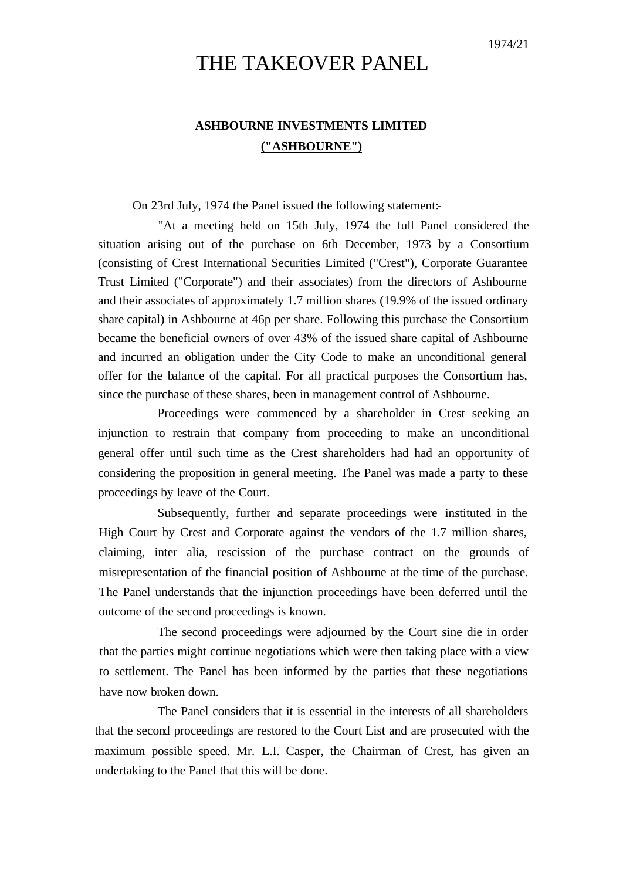## THE TAKEOVER PANEL

## **ASHBOURNE INVESTMENTS LIMITED ("ASHBOURNE")**

## On 23rd July, 1974 the Panel issued the following statement:-

"At a meeting held on 15th July, 1974 the full Panel considered the situation arising out of the purchase on 6th December, 1973 by a Consortium (consisting of Crest International Securities Limited ("Crest"), Corporate Guarantee Trust Limited ("Corporate") and their associates) from the directors of Ashbourne and their associates of approximately 1.7 million shares (19.9% of the issued ordinary share capital) in Ashbourne at 46p per share. Following this purchase the Consortium became the beneficial owners of over 43% of the issued share capital of Ashbourne and incurred an obligation under the City Code to make an unconditional general offer for the balance of the capital. For all practical purposes the Consortium has, since the purchase of these shares, been in management control of Ashbourne.

Proceedings were commenced by a shareholder in Crest seeking an injunction to restrain that company from proceeding to make an unconditional general offer until such time as the Crest shareholders had had an opportunity of considering the proposition in general meeting. The Panel was made a party to these proceedings by leave of the Court.

Subsequently, further and separate proceedings were instituted in the High Court by Crest and Corporate against the vendors of the 1.7 million shares, claiming, inter alia, rescission of the purchase contract on the grounds of misrepresentation of the financial position of Ashbourne at the time of the purchase. The Panel understands that the injunction proceedings have been deferred until the outcome of the second proceedings is known.

The second proceedings were adjourned by the Court sine die in order that the parties might continue negotiations which were then taking place with a view to settlement. The Panel has been informed by the parties that these negotiations have now broken down.

The Panel considers that it is essential in the interests of all shareholders that the second proceedings are restored to the Court List and are prosecuted with the maximum possible speed. Mr. L.I. Casper, the Chairman of Crest, has given an undertaking to the Panel that this will be done.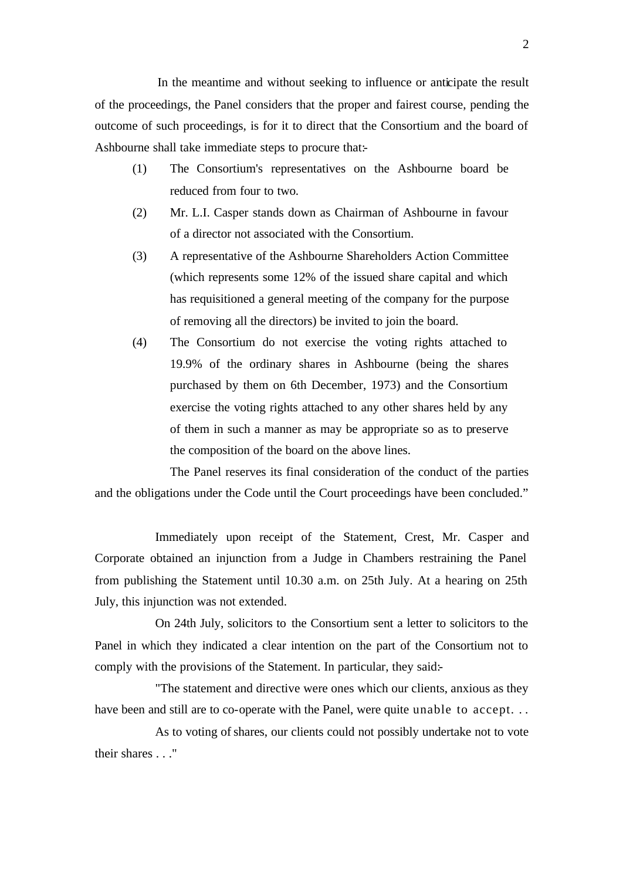In the meantime and without seeking to influence or anticipate the result of the proceedings, the Panel considers that the proper and fairest course, pending the outcome of such proceedings, is for it to direct that the Consortium and the board of Ashbourne shall take immediate steps to procure that:-

- (1) The Consortium's representatives on the Ashbourne board be reduced from four to two.
- (2) Mr. L.I. Casper stands down as Chairman of Ashbourne in favour of a director not associated with the Consortium.
- (3) A representative of the Ashbourne Shareholders Action Committee (which represents some 12% of the issued share capital and which has requisitioned a general meeting of the company for the purpose of removing all the directors) be invited to join the board.
- (4) The Consortium do not exercise the voting rights attached to 19.9% of the ordinary shares in Ashbourne (being the shares purchased by them on 6th December, 1973) and the Consortium exercise the voting rights attached to any other shares held by any of them in such a manner as may be appropriate so as to preserve the composition of the board on the above lines.

The Panel reserves its final consideration of the conduct of the parties and the obligations under the Code until the Court proceedings have been concluded."

Immediately upon receipt of the Statement, Crest, Mr. Casper and Corporate obtained an injunction from a Judge in Chambers restraining the Panel from publishing the Statement until 10.30 a.m. on 25th July. At a hearing on 25th July, this injunction was not extended.

On 24th July, solicitors to the Consortium sent a letter to solicitors to the Panel in which they indicated a clear intention on the part of the Consortium not to comply with the provisions of the Statement. In particular, they said:-

"The statement and directive were ones which our clients, anxious as they have been and still are to co-operate with the Panel, were quite unable to accept...

As to voting of shares, our clients could not possibly undertake not to vote their shares . . ."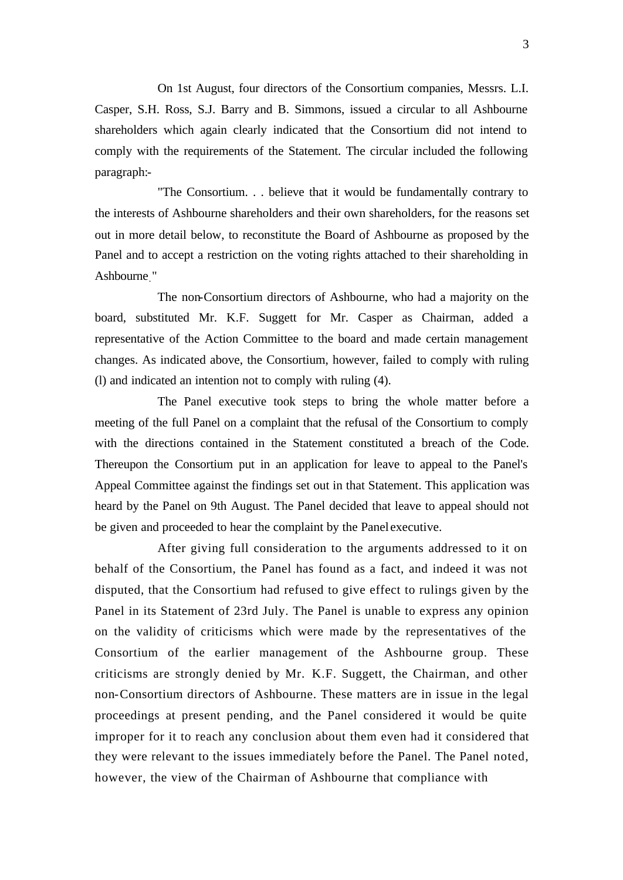On 1st August, four directors of the Consortium companies, Messrs. L.I. Casper, S.H. Ross, S.J. Barry and B. Simmons, issued a circular to all Ashbourne shareholders which again clearly indicated that the Consortium did not intend to comply with the requirements of the Statement. The circular included the following paragraph:-

"The Consortium. . . believe that it would be fundamentally contrary to the interests of Ashbourne shareholders and their own shareholders, for the reasons set out in more detail below, to reconstitute the Board of Ashbourne as proposed by the Panel and to accept a restriction on the voting rights attached to their shareholding in Ashbourne."

The non-Consortium directors of Ashbourne, who had a majority on the board, substituted Mr. K.F. Suggett for Mr. Casper as Chairman, added a representative of the Action Committee to the board and made certain management changes. As indicated above, the Consortium, however, failed to comply with ruling (l) and indicated an intention not to comply with ruling (4).

The Panel executive took steps to bring the whole matter before a meeting of the full Panel on a complaint that the refusal of the Consortium to comply with the directions contained in the Statement constituted a breach of the Code. Thereupon the Consortium put in an application for leave to appeal to the Panel's Appeal Committee against the findings set out in that Statement. This application was heard by the Panel on 9th August. The Panel decided that leave to appeal should not be given and proceeded to hear the complaint by the Panel executive.

After giving full consideration to the arguments addressed to it on behalf of the Consortium, the Panel has found as a fact, and indeed it was not disputed, that the Consortium had refused to give effect to rulings given by the Panel in its Statement of 23rd July. The Panel is unable to express any opinion on the validity of criticisms which were made by the representatives of the Consortium of the earlier management of the Ashbourne group. These criticisms are strongly denied by Mr. K.F. Suggett, the Chairman, and other non-Consortium directors of Ashbourne. These matters are in issue in the legal proceedings at present pending, and the Panel considered it would be quite improper for it to reach any conclusion about them even had it considered that they were relevant to the issues immediately before the Panel. The Panel noted, however, the view of the Chairman of Ashbourne that compliance with